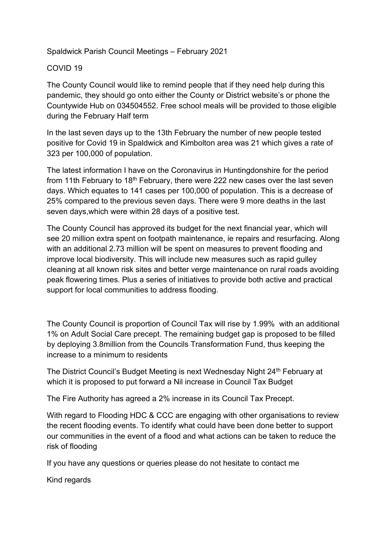## Spaldwick Parish Council Meetings – February 2021

## COVID 19

The County Council would like to remind people that if they need help during this pandemic, they should go onto either the County or District website's or phone the Countywide Hub on 034504552. Free school meals will be provided to those eligible during the February Half term

In the last seven days up to the 13th February the number of new people tested positive for Covid 19 in Spaldwick and Kimbolton area was 21 which gives a rate of 323 per 100,000 of population.

The latest information I have on the Coronavirus in Huntingdonshire for the period from 11th February to 18<sup>th</sup> February, there were 222 new cases over the last seven days. Which equates to 141 cases per 100,000 of population. This is a decrease of 25% compared to the previous seven days. There were 9 more deaths in the last seven days,which were within 28 days of a positive test.

The County Council has approved its budget for the next financial year, which will see 20 million extra spent on footpath maintenance, ie repairs and resurfacing. Along with an additional 2.73 million will be spent on measures to prevent flooding and improve local biodiversity. This will include new measures such as rapid gulley cleaning at all known risk sites and better verge maintenance on rural roads avoiding peak flowering times. Plus a series of initiatives to provide both active and practical support for local communities to address flooding.

The County Council is proportion of Council Tax will rise by 1.99% with an additional 1% on Adult Social Care precept. The remaining budget gap is proposed to be filled by deploying 3.8million from the Councils Transformation Fund, thus keeping the increase to a minimum to residents

The District Council's Budget Meeting is next Wednesday Night 24<sup>th</sup> February at which it is proposed to put forward a Nil increase in Council Tax Budget

The Fire Authority has agreed a 2% increase in its Council Tax Precept.

With regard to Flooding HDC & CCC are engaging with other organisations to review the recent flooding events. To identify what could have been done better to support our communities in the event of a flood and what actions can be taken to reduce the risk of flooding

If you have any questions or queries please do not hesitate to contact me

Kind regards